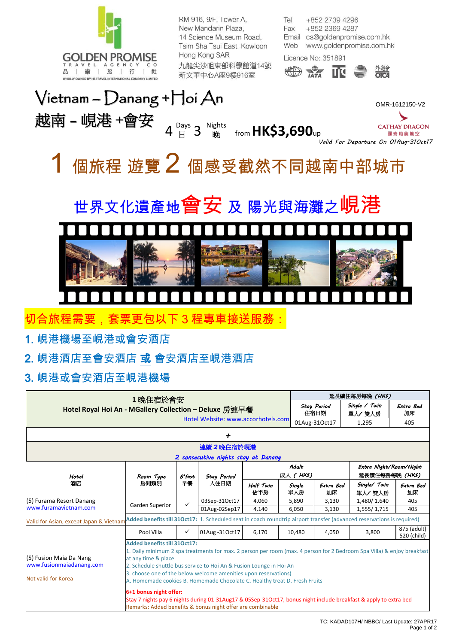

RM 916, 9/F, Tower A, New Mandarin Plaza. 14 Science Museum Road, Tsim Sha Tsui East, Kowloon Hong Kong SAR 九龍尖沙咀東部科學館道14號 新文華中心A座9樓916室

Tel +852 2739 4296 Fax +852 2369 4287 Email cs@goldenpromise.com.hk Web www.goldenpromise.com.hk

Licence No: 351891







國泰港龍航空 *Valid For Departure On 01Aug-31Oct17*

# 個旅程 遊覽 2 個感受截然不同越南中部城市





切合旅程需要,套票更包以下 3 程專車接送服務:

1. 峴港機場至峴港或會安酒店

2. 峴港酒店至會安酒店 或 會安酒店至峴港酒店

### 3. 峴港或會安酒店至峴港機場

| 1 晚住宿於會安<br>Hotel Royal Hoi An - MGallery Collection - Deluxe 房連早餐                                                                                                |                                                                                                                                                                                                                                                                                                                                                                                                              |                 |                            |                  |                     | 延長續住每房每晚 (HK\$)            |                                          |                            |  |  |
|-------------------------------------------------------------------------------------------------------------------------------------------------------------------|--------------------------------------------------------------------------------------------------------------------------------------------------------------------------------------------------------------------------------------------------------------------------------------------------------------------------------------------------------------------------------------------------------------|-----------------|----------------------------|------------------|---------------------|----------------------------|------------------------------------------|----------------------------|--|--|
|                                                                                                                                                                   |                                                                                                                                                                                                                                                                                                                                                                                                              |                 |                            |                  |                     | <b>Stay Period</b><br>住宿日期 | Single / Twin<br>單人/雙人房                  | Extra Bed<br>加床            |  |  |
|                                                                                                                                                                   | Hotel Website: www.accorhotels.com                                                                                                                                                                                                                                                                                                                                                                           |                 |                            |                  | 01Aug-31Oct17       | 1,295                      | 405                                      |                            |  |  |
| +                                                                                                                                                                 |                                                                                                                                                                                                                                                                                                                                                                                                              |                 |                            |                  |                     |                            |                                          |                            |  |  |
| 連續 2晚住宿於峴港                                                                                                                                                        |                                                                                                                                                                                                                                                                                                                                                                                                              |                 |                            |                  |                     |                            |                                          |                            |  |  |
| 2 consecutive nights stay at Danang                                                                                                                               |                                                                                                                                                                                                                                                                                                                                                                                                              |                 |                            |                  |                     |                            |                                          |                            |  |  |
| Hotel<br>酒店                                                                                                                                                       | Room Type<br>房間類別                                                                                                                                                                                                                                                                                                                                                                                            | $B$ 'fast<br>早餐 | <b>Stay Period</b><br>人住日期 |                  | Adult<br>成人 ( HK\$) |                            | Extra Night/Room/Night<br>延長續住每房每晚 (HKS) |                            |  |  |
|                                                                                                                                                                   |                                                                                                                                                                                                                                                                                                                                                                                                              |                 |                            | Half Twin<br>佔半房 | Single<br>單人房       | Extra Bed<br>加床            | Single/ Twin<br>單人/雙人房                   | Extra Bed<br>加床            |  |  |
| (5) Furama Resort Danang                                                                                                                                          | Garden Superior                                                                                                                                                                                                                                                                                                                                                                                              | ✓               | 03Sep-31Oct17              | 4,060            | 5,890               | 3,130                      | 1,480/1,640                              | 405                        |  |  |
| www.furamavietnam.com                                                                                                                                             |                                                                                                                                                                                                                                                                                                                                                                                                              |                 | 01Aug-02Sep17              | 4,140            | 6,050               | 3,130                      | 1,555/1,715                              | 405                        |  |  |
| Added benefits till 31Oct17: 1. Scheduled seat in coach roundtrip airport transfer (advanced reservations is required)<br>Valid for Asian, except Japan & Vietnam |                                                                                                                                                                                                                                                                                                                                                                                                              |                 |                            |                  |                     |                            |                                          |                            |  |  |
|                                                                                                                                                                   | Pool Villa                                                                                                                                                                                                                                                                                                                                                                                                   | ✓               | 01Aug - 310ct17            | 6,170            | 10,480              | 4,050                      | 3,800                                    | 875 (adult)<br>520 (child) |  |  |
| (5) Fusion Maia Da Nang<br>www.fusionmaiadanang.com<br>Not valid for Korea                                                                                        | <b>Added benefits till 31Oct17:</b><br>1. Daily minimum 2 spa treatments for max. 2 person per room (max. 4 person for 2 Bedroom Spa Villa) & enjoy breakfast<br>at any time & place<br>2. Schedule shuttle bus service to Hoi An & Fusion Lounge in Hoi An<br>3. choose one of the below welcome amenities upon reservations)<br>A. Homemade cookies B. Homemade Chocolate C. Healthy treat D. Fresh Fruits |                 |                            |                  |                     |                            |                                          |                            |  |  |
|                                                                                                                                                                   | 6+1 bonus night offer:<br>Stay 7 nights pay 6 nights during 01-31Aug17 & 05Sep-31Oct17, bonus night include breakfast & apply to extra bed<br>Remarks: Added benefits & bonus night offer are combinable                                                                                                                                                                                                     |                 |                            |                  |                     |                            |                                          |                            |  |  |